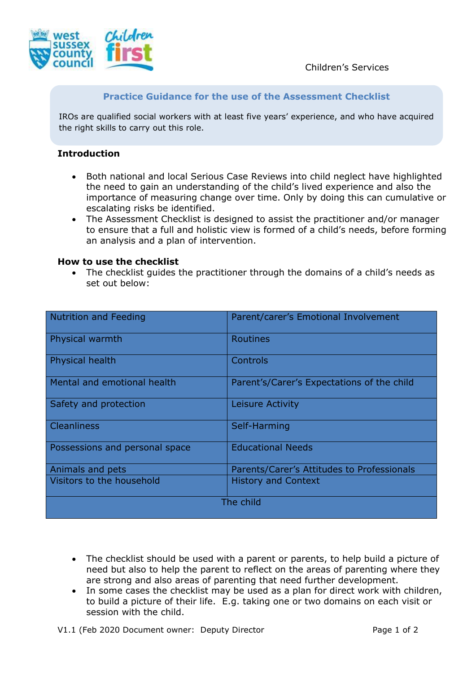

# **Practice Guidance for the use of the Assessment Checklist**

IROs are qualified social workers with at least five years' experience, and who have acquired the right skills to carry out this role.

# **Introduction**

- Both national and local Serious Case Reviews into child neglect have highlighted the need to gain an understanding of the child's lived experience and also the importance of measuring change over time. Only by doing this can cumulative or escalating risks be identified.
- The Assessment Checklist is designed to assist the practitioner and/or manager to ensure that a full and holistic view is formed of a child's needs, before forming an analysis and a plan of intervention.

### **How to use the checklist**

• The checklist guides the practitioner through the domains of a child's needs as set out below:

| <b>Nutrition and Feeding</b>   | Parent/carer's Emotional Involvement       |
|--------------------------------|--------------------------------------------|
| Physical warmth                | <b>Routines</b>                            |
| Physical health                | Controls                                   |
| Mental and emotional health    | Parent's/Carer's Expectations of the child |
| Safety and protection          | Leisure Activity                           |
| <b>Cleanliness</b>             | Self-Harming                               |
| Possessions and personal space | <b>Educational Needs</b>                   |
| Animals and pets               | Parents/Carer's Attitudes to Professionals |
| Visitors to the household      | <b>History and Context</b>                 |
| The child                      |                                            |

- The checklist should be used with a parent or parents, to help build a picture of need but also to help the parent to reflect on the areas of parenting where they are strong and also areas of parenting that need further development.
- In some cases the checklist may be used as a plan for direct work with children, to build a picture of their life. E.g. taking one or two domains on each visit or session with the child.